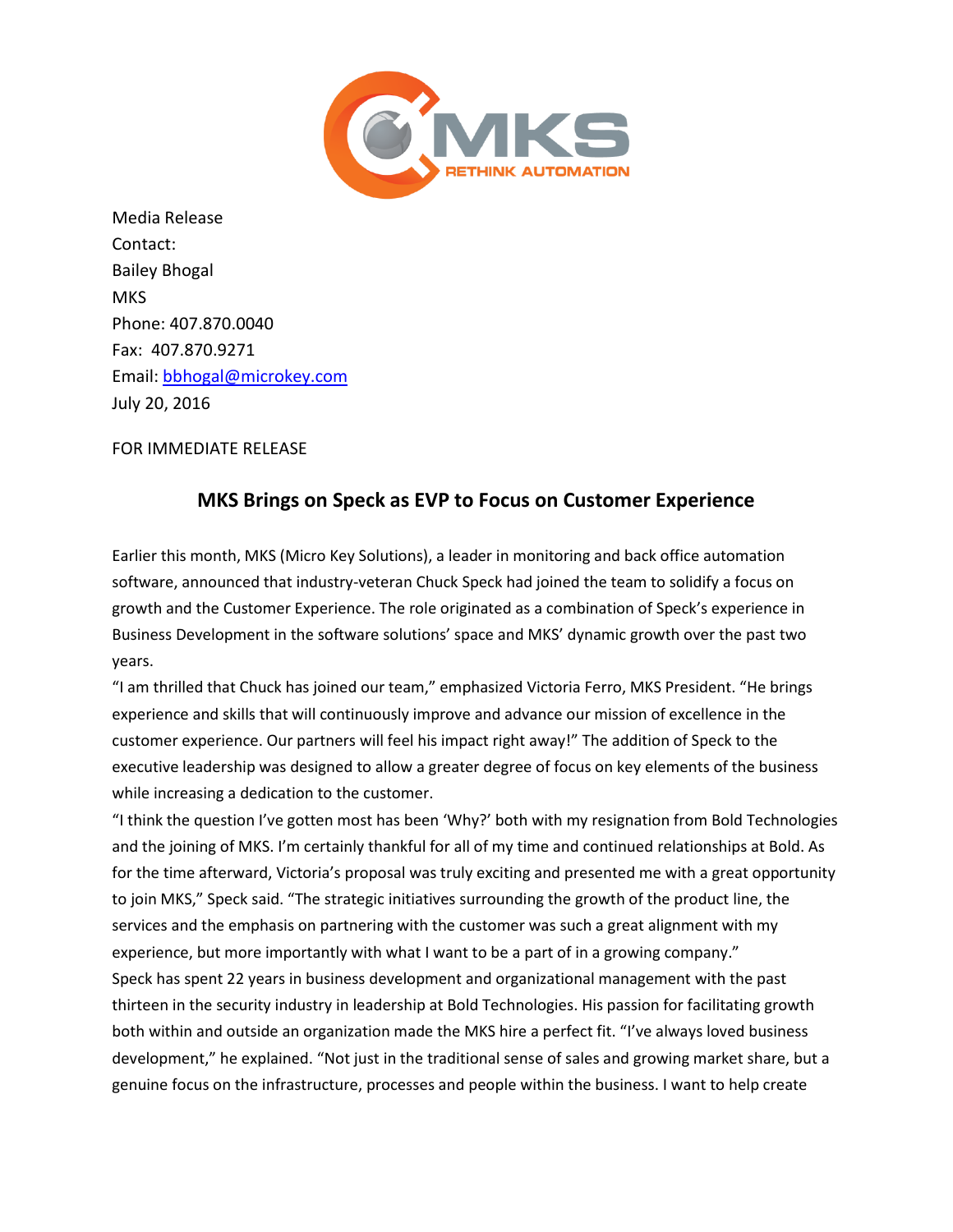

Media Release Contact: Bailey Bhogal **MKS** Phone: 407.870.0040 Fax: 407.870.9271 Email: [bbhogal@microkey.com](mailto:bbhogal@microkey.com) July 20, 2016

FOR IMMEDIATE RELEASE

## **MKS Brings on Speck as EVP to Focus on Customer Experience**

Earlier this month, MKS (Micro Key Solutions), a leader in monitoring and back office automation software, announced that industry-veteran Chuck Speck had joined the team to solidify a focus on growth and the Customer Experience. The role originated as a combination of Speck's experience in Business Development in the software solutions' space and MKS' dynamic growth over the past two years.

"I am thrilled that Chuck has joined our team," emphasized Victoria Ferro, MKS President. "He brings experience and skills that will continuously improve and advance our mission of excellence in the customer experience. Our partners will feel his impact right away!" The addition of Speck to the executive leadership was designed to allow a greater degree of focus on key elements of the business while increasing a dedication to the customer.

"I think the question I've gotten most has been 'Why?' both with my resignation from Bold Technologies and the joining of MKS. I'm certainly thankful for all of my time and continued relationships at Bold. As for the time afterward, Victoria's proposal was truly exciting and presented me with a great opportunity to join MKS," Speck said. "The strategic initiatives surrounding the growth of the product line, the services and the emphasis on partnering with the customer was such a great alignment with my experience, but more importantly with what I want to be a part of in a growing company." Speck has spent 22 years in business development and organizational management with the past thirteen in the security industry in leadership at Bold Technologies. His passion for facilitating growth both within and outside an organization made the MKS hire a perfect fit. "I've always loved business development," he explained. "Not just in the traditional sense of sales and growing market share, but a genuine focus on the infrastructure, processes and people within the business. I want to help create